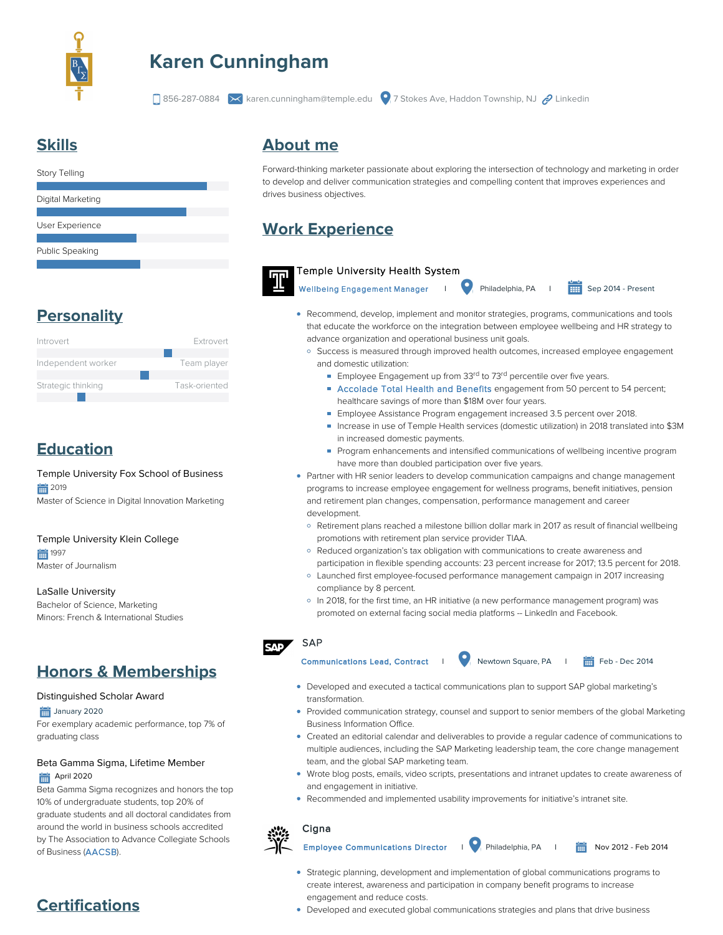

# **Karen Cunningham**

856-287-0884 karen.cunningham@temple.edu 7 Stokes Ave, Haddon Township, NJ Linkedin

## **Skills**

| <b>Story Telling</b> |  |
|----------------------|--|
|                      |  |
| Digital Marketing    |  |
|                      |  |
| User Experience      |  |
|                      |  |
| Public Speaking      |  |
|                      |  |

## **Personality**



## **Education**

Temple University Fox School of Business ■ 2019 Master of Science in Digital Innovation Marketing

Temple University Klein College 1997

Master of Journalism

LaSalle University

Bachelor of Science, Marketing Minors: French & International Studies

## **Honors & Memberships**

#### Distinguished Scholar Award

January 2020

For exemplary academic performance, top 7% of graduating class

#### Beta Gamma Sigma, Lifetime Member **April 2020**

Beta Gamma Sigma recognizes and honors the top 10% of undergraduate students, top 20% of graduate students and all doctoral candidates from around the world in business schools accredited by The Association to Advance Collegiate Schools of Business [\(AACSB\)](https://www.betagammasigma.org/mainsitedev/about/affiliations/about-affiliations-aacsb?utm_source=Landing%20Page&utm_medium=Link&utm_campaign=BGS%20Branding&utm_content=AACSB).

## **About me**

Forward-thinking marketer passionate about exploring the intersection of technology and marketing in order to develop and deliver communication strategies and compelling content that improves experiences and drives business objectives.

## **Work Experience**



Temple University Health System

Wellbeing Engagement Manager I Philadelphia, PA I Sep 2014 - Present

- Recommend, develop, implement and monitor strategies, programs, communications and tools that educate the workforce on the integration between employee wellbeing and HR strategy to advance organization and operational business unit goals.
	- <sup>o</sup> Success is measured through improved health outcomes, increased employee engagement and domestic utilization:
		- Employee Engagement up from 33<sup>rd</sup> to 73<sup>rd</sup> percentile over five years.
		- [Accolade Total Health and Benefits](https://www.accolade.com/resource/temple-university-health-system-improves-care-and-reduces-costs/) engagement from 50 percent to 54 percent; healthcare savings of more than \$18M over four years.
		- Employee Assistance Program engagement increased 3.5 percent over 2018.
		- Increase in use of Temple Health services (domestic utilization) in 2018 translated into \$3M in increased domestic payments.
		- **Program enhancements and intensified communications of wellbeing incentive program** have more than doubled participation over five years.
- Partner with HR senior leaders to develop communication campaigns and change management programs to increase employee engagement for wellness programs, benefit initiatives, pension and retirement plan changes, compensation, performance management and career development.
	- Retirement plans reached a milestone billion dollar mark in 2017 as result of financial wellbeing promotions with retirement plan service provider TIAA.
	- Reduced organization's tax obligation with communications to create awareness and participation in flexible spending accounts: 23 percent increase for 2017; 13.5 percent for 2018.
	- Launched first employee-focused performance management campaign in 2017 increasing compliance by 8 percent.
	- In 2018, for the first time, an HR initiative (a new performance management program) was promoted on external facing social media platforms -- LinkedIn and Facebook.





- Developed and executed a tactical communications plan to support SAP global marketing's transformation.
- Provided communication strategy, counsel and support to senior members of the global Marketing Business Information Office.
- Created an editorial calendar and deliverables to provide a regular cadence of communications to multiple audiences, including the SAP Marketing leadership team, the core change management team, and the global SAP marketing team.
- Wrote blog posts, emails, video scripts, presentations and intranet updates to create awareness of and engagement in initiative.
- Recommended and implemented usability improvements for initiative's intranet site.

#### **Cigna**

Employee Communications Director | Philadelphia, PA | **前** Nov 2012 - Feb 2014

- Strategic planning, development and implementation of global communications programs to create interest, awareness and participation in company benefit programs to increase engagement and reduce costs.
- Developed and executed global communications strategies and plans that drive business